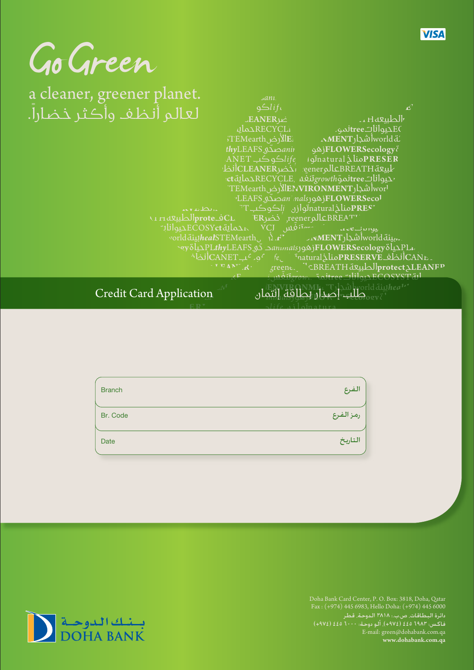| ×<br>ų. |
|---------|
|---------|

JHdruhl



ER نخىرreener نخىربان عاف proteالطبيعه صد بيئة worldأشجار MENTد. ،عبالياةPLthyLEAFS مترهوزونهمکوروکوPLthyLEAFS بدیا أنظف PRESERVEفid مناخ inatural مناخلات أن متعلمات أن المستقاة أحدث المستقاة أحدث "CBREATH drublprotect ALEANFP  $\frac{1}{2}$   $\frac{1}{2}$   $\frac{1}{2}$   $\frac{1}{2}$   $\frac{1}{2}$   $\frac{1}{2}$   $\frac{1}{2}$ 

طلبينة المعدار الشجارات الطاقة التي العامل السكاري الكلمان الصحيحة العام العامل Credit Card Application

| <b>Branch</b> | الفرع     |
|---------------|-----------|
| Br. Code      | رمز الفرع |
| Date          | التاريخ   |



Doha Bank Card Center, P. O. Box: 3818, Doha, Qatar Fax : (+974) 445 6983, Hello Doha: (+974) 445 6000 دائرة البطاقات٬ ص.ب.: ٣٨١٨ الدوحة٬ قطر فاكـس: ٦٩٨٣ ٤٤٥ (١٩٧٤). ألـو دوحـة: ٦٠٠٠ ٤٤٥ (١٩٧٤) E-mail: green@dohabank.com.qa **www.dohabank.com.qa**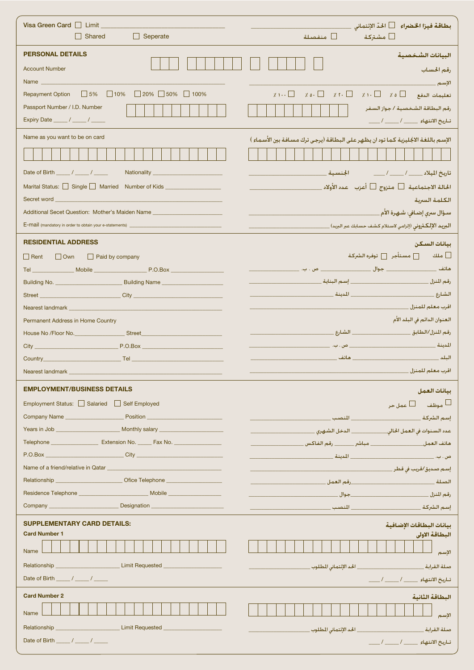| Visa Green Card   Limit ______<br>$\Box$ Shared<br>$\Box$ Seperate                                                                                                                                                             | بطاقة فيزا الخضراء └ الحدّ الإئتماني<br>مشتركة $\Box$<br>منفصلة $\square$                                                           |
|--------------------------------------------------------------------------------------------------------------------------------------------------------------------------------------------------------------------------------|-------------------------------------------------------------------------------------------------------------------------------------|
|                                                                                                                                                                                                                                |                                                                                                                                     |
| <b>PERSONAL DETAILS</b>                                                                                                                                                                                                        | البيانات الشخصية                                                                                                                    |
| <b>Account Number</b>                                                                                                                                                                                                          | رقم الحساب                                                                                                                          |
| Name and the control of the control of the control of the control of the control of the control of the control of the control of the control of the control of the control of the control of the control of the control of the | الإسم                                                                                                                               |
| $\Box$ 20% $\Box$ 50% $\Box$ 100%<br>$\Box$ 5% $\Box$ 10%<br><b>Repayment Option</b>                                                                                                                                           | $\chi_1 \dots \Box \quad \chi_0 \dots \Box \quad \chi_1 \dots \Box \quad \chi_1 \dots \Box \quad \chi_0 \Box \quad \Box \dots \Box$ |
| Passport Number / I.D. Number                                                                                                                                                                                                  | رقم البطاقة الشخصية / جواز السفر<br>تناريخ الانتهاء _____/ _____/                                                                   |
| Name as you want to be on card                                                                                                                                                                                                 | الإسم باللغة الاجُليزية كما تود ان يظهر على البطاقة (يرجى ترك مسافة بين الأسماء )                                                   |
|                                                                                                                                                                                                                                |                                                                                                                                     |
| Date of Birth ______/ _____/ _______ Nationality _______________________________                                                                                                                                               | تاريخ الميلاد _____ / ____ / ____                الجنسية ___                                                                        |
| Marital Status: Single Married Number of Kids __________________________________                                                                                                                                               |                                                                                                                                     |
| Secret word <u>the contract of the contract of the contract of the contract of the contract of</u>                                                                                                                             | الكلمة السرية                                                                                                                       |
| Additional Secet Question: Mother's Maiden Name                                                                                                                                                                                | سـؤال سىرى إضـافى: شـهـرة الأم ___                                                                                                  |
|                                                                                                                                                                                                                                | <b>البريد الإلكترونى</b> (إلزامي لاستلام كشف حسابك عبر البريد) ________________________                                             |
| <b>RESIDENTIAL ADDRESS</b>                                                                                                                                                                                                     | بيانات السكن                                                                                                                        |
| $\Box$ Rent $\Box$ Own<br><b>Paid by company</b>                                                                                                                                                                               |                                                                                                                                     |
|                                                                                                                                                                                                                                |                                                                                                                                     |
|                                                                                                                                                                                                                                |                                                                                                                                     |
|                                                                                                                                                                                                                                |                                                                                                                                     |
| Nearest landmark <b>Nearest landmark</b>                                                                                                                                                                                       | اقرب معلم للمنزل __                                                                                                                 |
| Permanent Address in Home Country                                                                                                                                                                                              | العنوان الدائم في البلد الأم                                                                                                        |
|                                                                                                                                                                                                                                |                                                                                                                                     |
|                                                                                                                                                                                                                                |                                                                                                                                     |
|                                                                                                                                                                                                                                |                                                                                                                                     |
| Nearest landmark                                                                                                                                                                                                               | اقرب معلم للمنزل _                                                                                                                  |
| <b>EMPLOYMENT/BUSINESS DETAILS</b>                                                                                                                                                                                             | بيانات العمل                                                                                                                        |
| Employment Status: Salaried Self Employed                                                                                                                                                                                      |                                                                                                                                     |
|                                                                                                                                                                                                                                |                                                                                                                                     |
|                                                                                                                                                                                                                                |                                                                                                                                     |
| Telephone <b>Extension No.</b> Fax No. 2008                                                                                                                                                                                    |                                                                                                                                     |
| P.O.Box City City                                                                                                                                                                                                              |                                                                                                                                     |
|                                                                                                                                                                                                                                |                                                                                                                                     |
| Relationship Contact Contact Contact Contact Contact Contact Contact Contact Contact Contact Contact Contact Contact Contact Contact Contact Contact Contact Contact Contact Contact Contact Contact Contact Contact Contact C |                                                                                                                                     |
|                                                                                                                                                                                                                                |                                                                                                                                     |
|                                                                                                                                                                                                                                |                                                                                                                                     |
| <b>SUPPLEMENTARY CARD DETAILS:</b>                                                                                                                                                                                             | بيانات البطاقات الإضافية                                                                                                            |
| <b>Card Number 1</b>                                                                                                                                                                                                           | البطاقة الاولى                                                                                                                      |
| Name                                                                                                                                                                                                                           | الإسم                                                                                                                               |
| Relationship __<br>Limit Requested Letter and Limit Requested<br>Date of Birth $\frac{1}{2}$ / $\frac{1}{2}$                                                                                                                   | صلة القرابة __________________________________ الحد الإئتماني الطلوب.                                                               |
|                                                                                                                                                                                                                                | تاريخ الانتهاء ____ / ____ / ____                                                                                                   |
| <b>Card Number 2</b>                                                                                                                                                                                                           | البطاقة الثانية                                                                                                                     |
| Name                                                                                                                                                                                                                           | الإسم                                                                                                                               |
| Relationship _________________________________Limit Requested __________________                                                                                                                                               |                                                                                                                                     |
| Date of Birth $\frac{1}{2}$ / $\frac{1}{2}$                                                                                                                                                                                    | تاريخ الانتهاء ____ / ____ / ____                                                                                                   |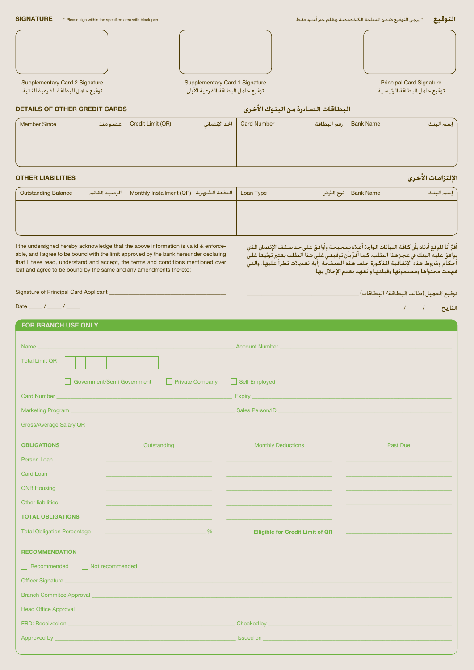

توقيع حامل البطاقة الفرعية الأولى

Principal Card Signature توقيع حامل البطاقة الرئيسية

**DETAILS OF OTHER CREDIT CARDS**

Supplementary Card 2 Signature توقيع حامل البطاقة الفرعية الثانية

|  |  |  |  | البطاقات الصادرة من البنوك الأخرى |  |
|--|--|--|--|-----------------------------------|--|
|--|--|--|--|-----------------------------------|--|

| <b>Member Since</b> | عضومنذ | Credit Limit (QR) | الحد الإئتماني | <b>Card Number</b> | رقم البطاقة | <b>Bank Name</b> | إسم البنك |
|---------------------|--------|-------------------|----------------|--------------------|-------------|------------------|-----------|
|                     |        |                   |                |                    |             |                  |           |
|                     |        |                   |                |                    |             |                  |           |
|                     |        |                   |                |                    |             |                  |           |

# **OTHER LIABILITIES**

| <b>Outstanding Balance</b> | Loan Type   الدفعة الشهرية   Monthly Installment (QR)   الرصيد القائم                             ا | نوع الثرض | <b>Bank Name</b><br>إسم البنك |
|----------------------------|-----------------------------------------------------------------------------------------------------|-----------|-------------------------------|
|                            |                                                                                                     |           |                               |
|                            |                                                                                                     |           |                               |

I the undersigned hereby acknowledge that the above information is valid & enforceable, and I agree to be bound with the limit approved by the bank hereunder declaring that I have read, understand and accept, the terms and conditions mentioned over leaf and agree to be bound by the same and any amendments thereto:

اقرّ انا الموقع ادناه بان كـافـة البياتات الـواردة اعـلاه صـحـيـحـة واوافـق عـلـى حـد سـقـف الإئتمـان الـذي<br><sub>ت</sub>وافـق عـليـه الـبـنـك في عـجـز هـذا الـطـلب. كـمـا أقـرّ بـأن تـوقيـعـي غـلـي هـذا الـطـلب يـعـتٍبر تـوثيـعـا احكام وشروط هذه الإتفاقية المذكورة خلف هذه الصفحة زاية تعديلات تطرا عليها٬ والتى فهمت محتواها ومضيمونها وقبلتها وأتعهد بعدم الإخلال بهاء

Signature of Principal Card Applicant \_

**FOR BRANCH USE ONLY**

Date  $\_\_\_\_\_\_\_\_\_\_\_\_\_\_$ 

 $\frac{1}{2}$ التاريخ \_\_\_\_\_ / \_\_\_\_\_ /

\_\_\_\_\_\_\_\_\_\_\_\_\_\_\_\_\_\_\_\_\_\_\_\_\_\_\_\_\_\_\_\_\_\_\_\_\_\_\_\_

| <b>FUR BRANGH USE UNLY</b>                                      |                                                                                                                       |                                                                                                                                                                                                                                      |          |  |  |  |
|-----------------------------------------------------------------|-----------------------------------------------------------------------------------------------------------------------|--------------------------------------------------------------------------------------------------------------------------------------------------------------------------------------------------------------------------------------|----------|--|--|--|
|                                                                 |                                                                                                                       | <b>Account Number</b><br>$\mathcal{L}^{\text{max}}_{\text{max}}$ and $\mathcal{L}^{\text{max}}_{\text{max}}$ and $\mathcal{L}^{\text{max}}_{\text{max}}$                                                                             |          |  |  |  |
|                                                                 |                                                                                                                       |                                                                                                                                                                                                                                      |          |  |  |  |
| <b>Total Limit QR</b>                                           |                                                                                                                       |                                                                                                                                                                                                                                      |          |  |  |  |
|                                                                 | Government/Semi Government<br>Private Company                                                                         | Self Employed                                                                                                                                                                                                                        |          |  |  |  |
| <b>Card Number</b>                                              | <u> 1989 - Johann John Stein, markin film yn y brening yn y brening yn y brening yn y brening yn y brening yn y b</u> |                                                                                                                                                                                                                                      |          |  |  |  |
|                                                                 |                                                                                                                       |                                                                                                                                                                                                                                      |          |  |  |  |
|                                                                 |                                                                                                                       |                                                                                                                                                                                                                                      |          |  |  |  |
|                                                                 |                                                                                                                       |                                                                                                                                                                                                                                      |          |  |  |  |
| <b>OBLIGATIONS</b>                                              | Outstanding                                                                                                           | <b>Monthly Deductions</b>                                                                                                                                                                                                            | Past Due |  |  |  |
| Person Loan                                                     |                                                                                                                       |                                                                                                                                                                                                                                      |          |  |  |  |
| Card Loan                                                       |                                                                                                                       |                                                                                                                                                                                                                                      |          |  |  |  |
| <b>QNB Housing</b>                                              |                                                                                                                       |                                                                                                                                                                                                                                      |          |  |  |  |
| <b>Other liabilities</b>                                        |                                                                                                                       |                                                                                                                                                                                                                                      |          |  |  |  |
| <b>TOTAL OBLIGATIONS</b>                                        |                                                                                                                       |                                                                                                                                                                                                                                      |          |  |  |  |
| <b>Total Obligation Percentage</b>                              |                                                                                                                       | <b>Elligible for Credit Limit of QR</b>                                                                                                                                                                                              |          |  |  |  |
| <b>RECOMMENDATION</b>                                           |                                                                                                                       |                                                                                                                                                                                                                                      |          |  |  |  |
| Recommended Not recommended                                     |                                                                                                                       |                                                                                                                                                                                                                                      |          |  |  |  |
| Officer Signature                                               |                                                                                                                       |                                                                                                                                                                                                                                      |          |  |  |  |
| Branch Committee Approval <b>Exploration Committee Approval</b> |                                                                                                                       |                                                                                                                                                                                                                                      |          |  |  |  |
| <b>Head Office Approval</b>                                     |                                                                                                                       |                                                                                                                                                                                                                                      |          |  |  |  |
|                                                                 | EBD: Received on <b>EXAMPLE EDUCATION</b> CONTINUES AND THE CONTINUES.                                                | Checked by <u>Charles and Checked by Checked by Checked by Checked and Checked by Checked and Checked and Checked</u>                                                                                                                |          |  |  |  |
|                                                                 | Approved by the contract of the contract of the contract of the contract of the contract of the contract of the       | <b>Issued on the contract of the contract of the contract of the contract of the contract of the contract of the contract of the contract of the contract of the contract of the contract of the contract of the contract of the</b> |          |  |  |  |